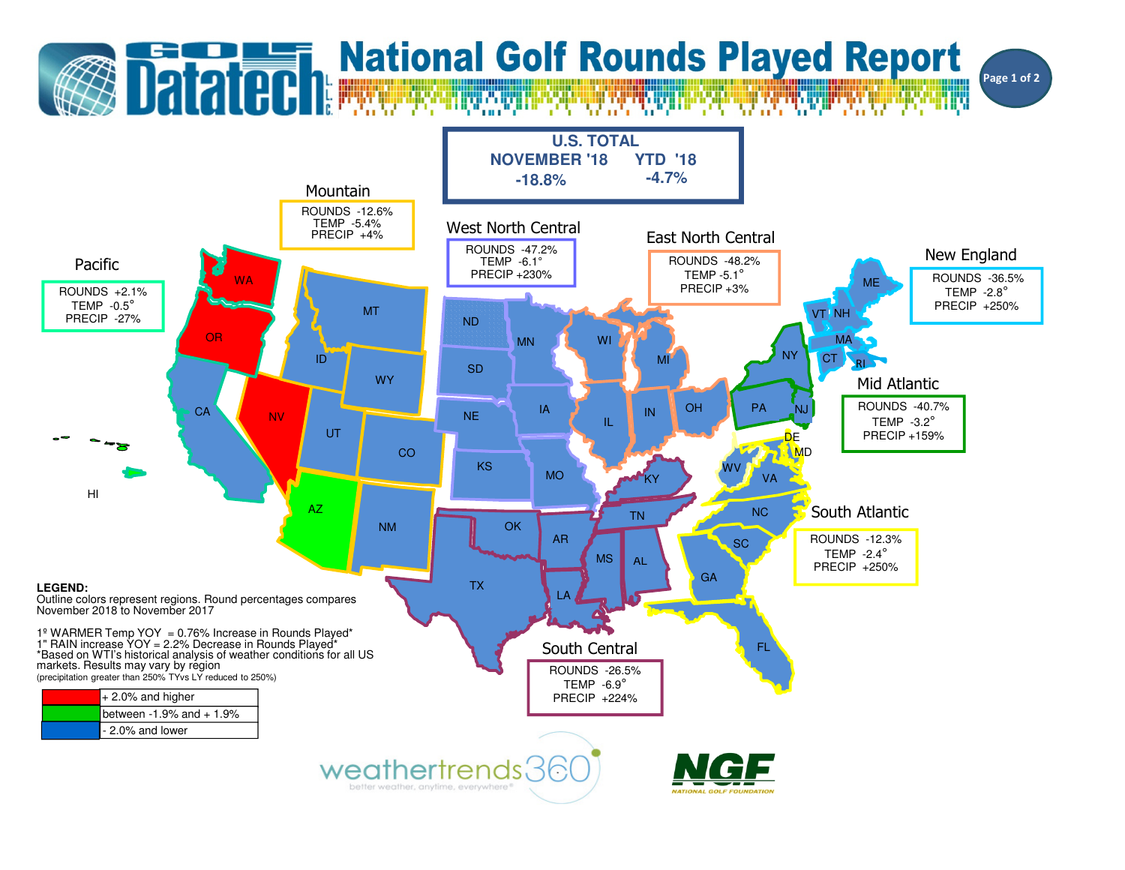